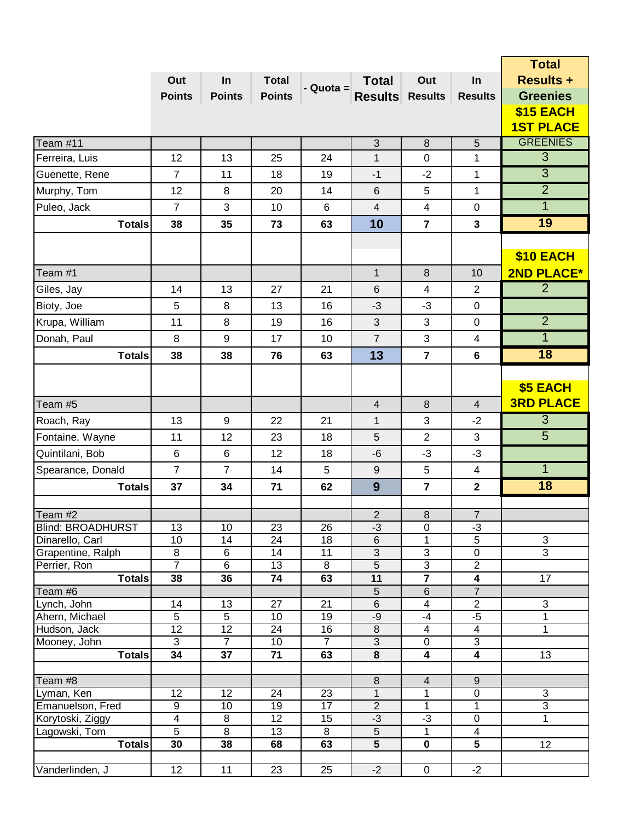|                                      |                                    |                      |                       |                       |                         |                         |                           | <b>Total</b>                     |
|--------------------------------------|------------------------------------|----------------------|-----------------------|-----------------------|-------------------------|-------------------------|---------------------------|----------------------------------|
|                                      | Out                                | In                   | <b>Total</b>          |                       | <b>Total</b>            | Out                     | In                        | <b>Results +</b>                 |
|                                      | <b>Points</b>                      | <b>Points</b>        | <b>Points</b>         | - Quota =             | <b>Results Results</b>  |                         | <b>Results</b>            | <b>Greenies</b>                  |
|                                      |                                    |                      |                       |                       |                         |                         |                           | \$15 EACH                        |
|                                      |                                    |                      |                       |                       |                         |                         |                           | <b>1ST PLACE</b>                 |
| Team #11                             |                                    |                      |                       |                       | $\sqrt{3}$              | $\,8\,$                 | 5                         | <b>GREENIES</b>                  |
| Ferreira, Luis                       | 12                                 | 13                   | 25                    | 24                    | 1                       | $\mathbf 0$             | $\mathbf{1}$              | $\overline{3}$                   |
| Guenette, Rene                       | $\overline{7}$                     | 11                   | 18                    | 19                    | $-1$                    | $-2$                    | 1                         | $\overline{3}$                   |
| Murphy, Tom                          | 12                                 | 8                    | 20                    | 14                    | 6                       | 5                       | 1                         | $\overline{2}$                   |
| Puleo, Jack                          | $\overline{7}$                     | 3                    | 10                    | 6                     | $\overline{\mathbf{4}}$ | 4                       | 0                         | $\mathbf{1}$                     |
| <b>Totals</b>                        | 38                                 | 35                   | 73                    | 63                    | 10                      | $\overline{7}$          | $\mathbf{3}$              | 19                               |
|                                      |                                    |                      |                       |                       |                         |                         |                           |                                  |
|                                      |                                    |                      |                       |                       |                         |                         |                           | \$10 EACH                        |
| Team #1                              |                                    |                      |                       |                       | $\mathbf{1}$            | $\boldsymbol{8}$        | 10                        | 2ND PLACE*                       |
| Giles, Jay                           | 14                                 | 13                   | 27                    | 21                    | 6                       | $\overline{\mathbf{4}}$ | $\overline{2}$            | $\overline{2}$                   |
| Bioty, Joe                           | 5                                  | 8                    | 13                    | 16                    | $-3$                    | $-3$                    | $\mathbf 0$               |                                  |
|                                      |                                    |                      |                       |                       |                         |                         |                           | $\overline{2}$                   |
| Krupa, William                       | 11                                 | 8                    | 19                    | 16                    | $\mathfrak{B}$          | 3                       | $\pmb{0}$                 |                                  |
| Donah, Paul                          | 8                                  | 9                    | 17                    | 10                    | $\overline{7}$          | 3                       | 4                         | $\overline{1}$                   |
| <b>Totals</b>                        | 38                                 | 38                   | 76                    | 63                    | 13                      | $\overline{7}$          | $6\phantom{1}$            | 18                               |
|                                      |                                    |                      |                       |                       |                         |                         |                           |                                  |
|                                      |                                    |                      |                       |                       |                         |                         |                           | \$5 EACH                         |
| Team #5                              |                                    |                      |                       |                       | $\overline{4}$          | $\,8\,$                 | $\overline{4}$            | <b>3RD PLACE</b>                 |
| Roach, Ray                           | 13                                 | 9                    | 22                    | 21                    | $\mathbf{1}$            | 3                       | $-2$                      | $\overline{3}$                   |
| Fontaine, Wayne                      | 11                                 | 12                   | 23                    | 18                    | $\overline{5}$          | $\overline{2}$          | 3                         | $\overline{5}$                   |
| Quintilani, Bob                      | $\,6$                              | $\,6$                | 12                    | 18                    | $-6$                    | $-3$                    | $-3$                      |                                  |
| Spearance, Donald                    | $\overline{7}$                     | $\overline{7}$       | 14                    | 5                     | $\boldsymbol{9}$        | 5                       | $\overline{4}$            | $\mathbf{1}$                     |
| <b>Totals</b>                        | 37                                 | 34                   | 71                    | 62                    | 9                       | $\overline{7}$          | $\mathbf{2}$              | 18                               |
|                                      |                                    |                      |                       |                       |                         |                         |                           |                                  |
| Team #2                              |                                    |                      |                       |                       | $\sqrt{2}$              | $\bf 8$                 | $\sqrt{7}$                |                                  |
| <b>Blind: BROADHURST</b>             | 13                                 | 10                   | 23                    | 26                    | $-3$                    | 0                       | $-3$                      |                                  |
| Dinarello, Carl<br>Grapentine, Ralph | 10<br>$\bf 8$                      | 14<br>$\,6\,$        | 24<br>14              | 18<br>11              | $\,6$<br>$\overline{3}$ | 1<br>$\overline{3}$     | $\overline{5}$<br>0       | $\mathfrak{S}$<br>$\overline{3}$ |
| Perrier, Ron                         | $\overline{7}$                     | 6                    | 13                    | 8                     | $\overline{5}$          | $\overline{3}$          | $\overline{c}$            |                                  |
| <b>Totals</b>                        | 38                                 | 36                   | 74                    | 63                    | $\overline{11}$         | $\overline{\mathbf{7}}$ | $\overline{\mathbf{4}}$   | 17                               |
| Team #6                              |                                    |                      |                       |                       | $\overline{5}$          | 6                       | $\overline{7}$            |                                  |
| Lynch, John                          | 14                                 | 13                   | 27                    | 21                    | $\,6$                   | 4                       | $\overline{2}$            | $\overline{3}$                   |
| Ahern, Michael<br>Hudson, Jack       | $\overline{5}$<br>12               | 5<br>$\overline{12}$ | 10<br>24              | 19<br>16              | $-9$<br>$\overline{8}$  | $-4$<br>$\overline{4}$  | $-5$<br>$\overline{4}$    | $\mathbf 1$<br>$\mathbf 1$       |
| Mooney, John                         | $\overline{3}$                     | $\overline{7}$       | 10                    | $\overline{7}$        | $\overline{3}$          | $\mathbf 0$             | $\overline{3}$            |                                  |
| <b>Totals</b>                        | 34                                 | 37                   | 71                    | 63                    | 8                       | 4                       | 4                         | 13                               |
|                                      |                                    |                      |                       |                       |                         |                         |                           |                                  |
| Team #8                              |                                    |                      |                       |                       | $\bf 8$                 | $\overline{\mathbf{4}}$ | $\boldsymbol{9}$          |                                  |
| Lyman, Ken                           | 12                                 | 12                   | 24                    | 23                    | $\overline{1}$          | $\mathbf{1}$            | $\overline{0}$            | $\overline{3}$                   |
| Emanuelson, Fred<br>Korytoski, Ziggy | $\boldsymbol{9}$<br>$\overline{4}$ | 10<br>$\overline{8}$ | 19<br>$\overline{12}$ | 17<br>$\overline{15}$ | $\overline{2}$<br>$-3$  | 1<br>$-3$               | $\mathbf{1}$<br>$\pmb{0}$ | $\overline{3}$<br>1              |
| Lagowski, Tom                        | $\overline{5}$                     | $\overline{8}$       | 13                    | 8                     | $\overline{5}$          | 1                       | 4                         |                                  |
| <b>Totals</b>                        | 30                                 | 38                   | 68                    | 63                    | $\overline{5}$          | $\mathbf 0$             | 5                         | 12                               |
|                                      |                                    |                      |                       |                       |                         |                         |                           |                                  |
| Vanderlinden, J                      | 12                                 | 11                   | 23                    | 25                    | $-2$                    | $\mathbf 0$             | $-2$                      |                                  |